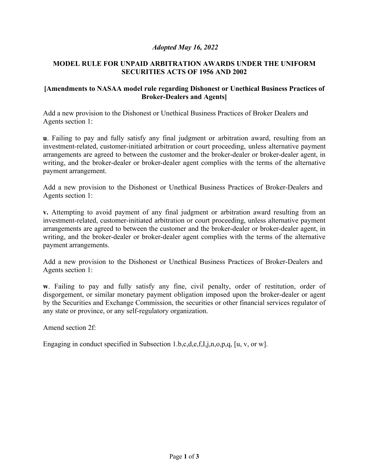## *Adopted May 16, 2022*

## **MODEL RULE FOR UNPAID ARBITRATION AWARDS UNDER THE UNIFORM SECURITIES ACTS OF 1956 AND 2002**

## **[Amendments to NASAA model rule regarding Dishonest or Unethical Business Practices of Broker-Dealers and Agents]**

Add a new provision to the Dishonest or Unethical Business Practices of Broker Dealers and Agents section 1:

**u**. Failing to pay and fully satisfy any final judgment or arbitration award, resulting from an investment-related, customer-initiated arbitration or court proceeding, unless alternative payment arrangements are agreed to between the customer and the broker-dealer or broker-dealer agent, in writing, and the broker-dealer or broker-dealer agent complies with the terms of the alternative payment arrangement.

Add a new provision to the Dishonest or Unethical Business Practices of Broker-Dealers and Agents section 1:

**v.** Attempting to avoid payment of any final judgment or arbitration award resulting from an investment-related, customer-initiated arbitration or court proceeding, unless alternative payment arrangements are agreed to between the customer and the broker-dealer or broker-dealer agent, in writing, and the broker-dealer or broker-dealer agent complies with the terms of the alternative payment arrangements.

Add a new provision to the Dishonest or Unethical Business Practices of Broker-Dealers and Agents section 1:

**w**. Failing to pay and fully satisfy any fine, civil penalty, order of restitution, order of disgorgement, or similar monetary payment obligation imposed upon the broker-dealer or agent by the Securities and Exchange Commission, the securities or other financial services regulator of any state or province, or any self-regulatory organization.

Amend section 2f:

Engaging in conduct specified in Subsection 1.b,c,d,e,f,I,j,n,o,p,q, [u, v, or w].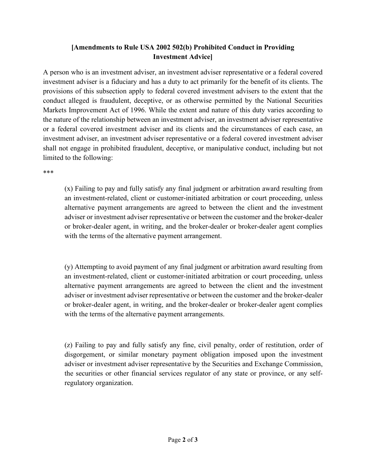# **[Amendments to Rule USA 2002 502(b) Prohibited Conduct in Providing Investment Advice]**

A person who is an investment adviser, an investment adviser representative or a federal covered investment adviser is a fiduciary and has a duty to act primarily for the benefit of its clients. The provisions of this subsection apply to federal covered investment advisers to the extent that the conduct alleged is fraudulent, deceptive, or as otherwise permitted by the National Securities Markets Improvement Act of 1996. While the extent and nature of this duty varies according to the nature of the relationship between an investment adviser, an investment adviser representative or a federal covered investment adviser and its clients and the circumstances of each case, an investment adviser, an investment adviser representative or a federal covered investment adviser shall not engage in prohibited fraudulent, deceptive, or manipulative conduct, including but not limited to the following:

\*\*\*

(x) Failing to pay and fully satisfy any final judgment or arbitration award resulting from an investment-related, client or customer-initiated arbitration or court proceeding, unless alternative payment arrangements are agreed to between the client and the investment adviser or investment adviser representative or between the customer and the broker-dealer or broker-dealer agent, in writing, and the broker-dealer or broker-dealer agent complies with the terms of the alternative payment arrangement.

(y) Attempting to avoid payment of any final judgment or arbitration award resulting from an investment-related, client or customer-initiated arbitration or court proceeding, unless alternative payment arrangements are agreed to between the client and the investment adviser or investment adviser representative or between the customer and the broker-dealer or broker-dealer agent, in writing, and the broker-dealer or broker-dealer agent complies with the terms of the alternative payment arrangements.

(z) Failing to pay and fully satisfy any fine, civil penalty, order of restitution, order of disgorgement, or similar monetary payment obligation imposed upon the investment adviser or investment adviser representative by the Securities and Exchange Commission, the securities or other financial services regulator of any state or province, or any selfregulatory organization.